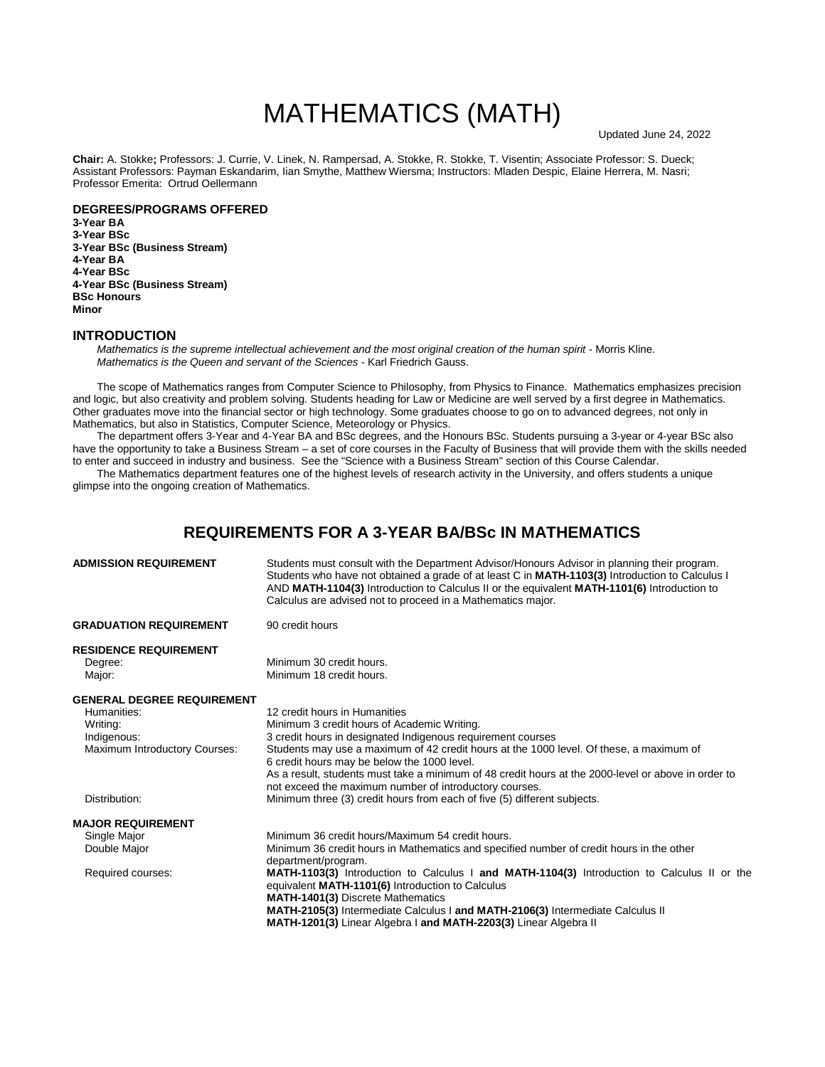# MATHEMATICS (MATH)

**Chair:** A. Stokke**;** Professors: J. Currie, V. Linek, N. Rampersad, A. Stokke, R. Stokke, T. Visentin; Associate Professor: S. Dueck; Assistant Professors: Payman Eskandarim, Iian Smythe, Matthew Wiersma; Instructors: Mladen Despic, Elaine Herrera, M. Nasri; Professor Emerita: Ortrud Oellermann

#### **DEGREES/PROGRAMS OFFERED 3-Year BA 3-Year BSc 3-Year BSc (Business Stream) 4-Year BA 4-Year BSc 4-Year BSc (Business Stream) BSc Honours**

**Minor**

#### **INTRODUCTION**

*Mathematics is the supreme intellectual achievement and the most original creation of the human spirit - Morris Kline. Mathematics is the Queen and servant of the Sciences* - Karl Friedrich Gauss.

The scope of Mathematics ranges from Computer Science to Philosophy, from Physics to Finance. Mathematics emphasizes precision and logic, but also creativity and problem solving. Students heading for Law or Medicine are well served by a first degree in Mathematics. Other graduates move into the financial sector or high technology. Some graduates choose to go on to advanced degrees, not only in Mathematics, but also in Statistics, Computer Science, Meteorology or Physics.

The department offers 3-Year and 4-Year BA and BSc degrees, and the Honours BSc. Students pursuing a 3-year or 4-year BSc also have the opportunity to take a Business Stream – a set of core courses in the Faculty of Business that will provide them with the skills needed to enter and succeed in industry and business. See the "Science with a Business Stream" section of this Course Calendar.

The Mathematics department features one of the highest levels of research activity in the University, and offers students a unique glimpse into the ongoing creation of Mathematics.

## **REQUIREMENTS FOR A 3-YEAR BA/BSc IN MATHEMATICS**

| <b>ADMISSION REQUIREMENT</b>      | Students must consult with the Department Advisor/Honours Advisor in planning their program.<br>Students who have not obtained a grade of at least C in MATH-1103(3) Introduction to Calculus I<br>AND MATH-1104(3) Introduction to Calculus II or the equivalent MATH-1101(6) Introduction to<br>Calculus are advised not to proceed in a Mathematics major. |
|-----------------------------------|---------------------------------------------------------------------------------------------------------------------------------------------------------------------------------------------------------------------------------------------------------------------------------------------------------------------------------------------------------------|
| <b>GRADUATION REQUIREMENT</b>     | 90 credit hours                                                                                                                                                                                                                                                                                                                                               |
| <b>RESIDENCE REQUIREMENT</b>      |                                                                                                                                                                                                                                                                                                                                                               |
| Degree:                           | Minimum 30 credit hours.                                                                                                                                                                                                                                                                                                                                      |
| Major:                            | Minimum 18 credit hours.                                                                                                                                                                                                                                                                                                                                      |
| <b>GENERAL DEGREE REQUIREMENT</b> |                                                                                                                                                                                                                                                                                                                                                               |
| Humanities:                       | 12 credit hours in Humanities                                                                                                                                                                                                                                                                                                                                 |
| Writing:                          | Minimum 3 credit hours of Academic Writing.                                                                                                                                                                                                                                                                                                                   |
| Indigenous:                       | 3 credit hours in designated Indigenous requirement courses                                                                                                                                                                                                                                                                                                   |
| Maximum Introductory Courses:     | Students may use a maximum of 42 credit hours at the 1000 level. Of these, a maximum of                                                                                                                                                                                                                                                                       |
|                                   | 6 credit hours may be below the 1000 level.                                                                                                                                                                                                                                                                                                                   |
|                                   | As a result, students must take a minimum of 48 credit hours at the 2000-level or above in order to                                                                                                                                                                                                                                                           |
|                                   | not exceed the maximum number of introductory courses.                                                                                                                                                                                                                                                                                                        |
| Distribution:                     | Minimum three (3) credit hours from each of five (5) different subjects.                                                                                                                                                                                                                                                                                      |
| <b>MAJOR REQUIREMENT</b>          |                                                                                                                                                                                                                                                                                                                                                               |
| Single Major                      | Minimum 36 credit hours/Maximum 54 credit hours.                                                                                                                                                                                                                                                                                                              |
| Double Major                      | Minimum 36 credit hours in Mathematics and specified number of credit hours in the other                                                                                                                                                                                                                                                                      |
|                                   | department/program.                                                                                                                                                                                                                                                                                                                                           |
| Required courses:                 | MATH-1103(3) Introduction to Calculus I and MATH-1104(3) Introduction to Calculus II or the                                                                                                                                                                                                                                                                   |
|                                   | equivalent MATH-1101(6) Introduction to Calculus                                                                                                                                                                                                                                                                                                              |
|                                   | <b>MATH-1401(3)</b> Discrete Mathematics                                                                                                                                                                                                                                                                                                                      |
|                                   | MATH-2105(3) Intermediate Calculus I and MATH-2106(3) Intermediate Calculus II                                                                                                                                                                                                                                                                                |
|                                   | MATH-1201(3) Linear Algebra I and MATH-2203(3) Linear Algebra II                                                                                                                                                                                                                                                                                              |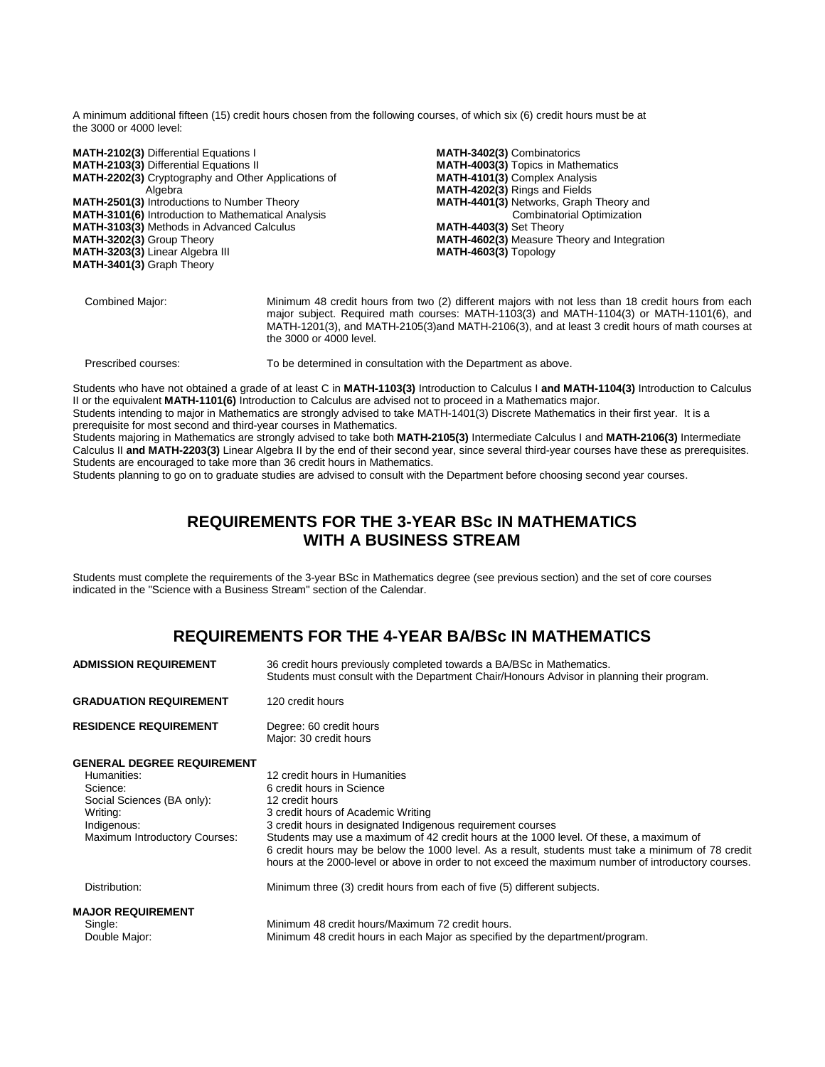A minimum additional fifteen (15) credit hours chosen from the following courses, of which six (6) credit hours must be at the 3000 or 4000 level:

**MATH-2102(3)** Differential Equations I **MATH-2103(3)** Differential Equations II **MATH-2202(3)** Cryptography and Other Applications of Algebra **MATH-2501(3)** Introductions to Number Theory **MATH-3101(6)** Introduction to Mathematical Analysis **MATH-3103(3)** Methods in Advanced Calculus **MATH-3202(3)** Group Theory **MATH-3203(3)** Linear Algebra III **MATH-3401(3)** Graph Theory **MATH-3402(3)** Combinatorics **MATH-4003(3)** Topics in Mathematics **MATH-4101(3)** Complex Analysis **MATH-4202(3)** Rings and Fields **MATH-4401(3)** Networks, Graph Theory and Combinatorial Optimization **MATH-4403(3)** Set Theory **MATH-4602(3)** Measure Theory and Integration **MATH-4603(3)** Topology

Combined Major: Minimum 48 credit hours from two (2) different majors with not less than 18 credit hours from each major subject. Required math courses: MATH-1103(3) and MATH-1104(3) or MATH-1101(6), and MATH-1201(3), and MATH-2105(3)and MATH-2106(3), and at least 3 credit hours of math courses at the 3000 or 4000 level.

Prescribed courses: To be determined in consultation with the Department as above.

Students who have not obtained a grade of at least C in **MATH-1103(3)** Introduction to Calculus I **and MATH-1104(3)** Introduction to Calculus II or the equivalent **MATH-1101(6)** Introduction to Calculus are advised not to proceed in a Mathematics major.

Students intending to major in Mathematics are strongly advised to take MATH-1401(3) Discrete Mathematics in their first year. It is a prerequisite for most second and third-year courses in Mathematics.

Students majoring in Mathematics are strongly advised to take both **MATH-2105(3)** Intermediate Calculus I and **MATH-2106(3)** Intermediate Calculus II **and MATH-2203(3)** Linear Algebra II by the end of their second year, since several third-year courses have these as prerequisites. Students are encouraged to take more than 36 credit hours in Mathematics.

Students planning to go on to graduate studies are advised to consult with the Department before choosing second year courses.

## **REQUIREMENTS FOR THE 3-YEAR BSc IN MATHEMATICS WITH A BUSINESS STREAM**

Students must complete the requirements of the 3-year BSc in Mathematics degree (see previous section) and the set of core courses indicated in the "Science with a Business Stream" section of the Calendar.

## **REQUIREMENTS FOR THE 4-YEAR BA/BSc IN MATHEMATICS**

| <b>ADMISSION REQUIREMENT</b>                                                                                                                                  | 36 credit hours previously completed towards a BA/BSc in Mathematics.<br>Students must consult with the Department Chair/Honours Advisor in planning their program.                                                                                                                                                                                                                                                                                                                        |
|---------------------------------------------------------------------------------------------------------------------------------------------------------------|--------------------------------------------------------------------------------------------------------------------------------------------------------------------------------------------------------------------------------------------------------------------------------------------------------------------------------------------------------------------------------------------------------------------------------------------------------------------------------------------|
| <b>GRADUATION REQUIREMENT</b>                                                                                                                                 | 120 credit hours                                                                                                                                                                                                                                                                                                                                                                                                                                                                           |
| <b>RESIDENCE REQUIREMENT</b>                                                                                                                                  | Degree: 60 credit hours<br>Major: 30 credit hours                                                                                                                                                                                                                                                                                                                                                                                                                                          |
| <b>GENERAL DEGREE REQUIREMENT</b><br>Humanities:<br>Science:<br>Social Sciences (BA only):<br>Writing:<br>Indigenous:<br><b>Maximum Introductory Courses:</b> | 12 credit hours in Humanities<br>6 credit hours in Science<br>12 credit hours<br>3 credit hours of Academic Writing<br>3 credit hours in designated Indigenous requirement courses<br>Students may use a maximum of 42 credit hours at the 1000 level. Of these, a maximum of<br>6 credit hours may be below the 1000 level. As a result, students must take a minimum of 78 credit<br>hours at the 2000-level or above in order to not exceed the maximum number of introductory courses. |
| Distribution:                                                                                                                                                 | Minimum three (3) credit hours from each of five (5) different subjects.                                                                                                                                                                                                                                                                                                                                                                                                                   |
| <b>MAJOR REQUIREMENT</b><br>Single:<br>Double Major:                                                                                                          | Minimum 48 credit hours/Maximum 72 credit hours.<br>Minimum 48 credit hours in each Major as specified by the department/program.                                                                                                                                                                                                                                                                                                                                                          |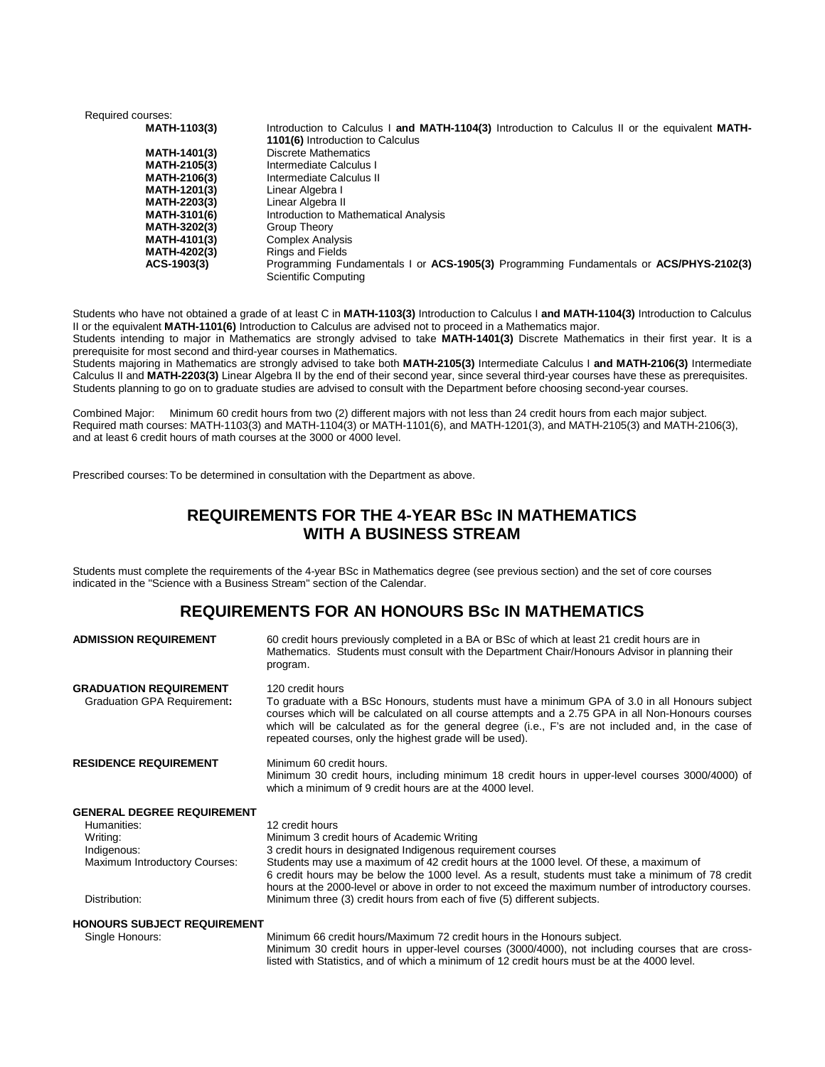| Introduction to Calculus I and MATH-1104(3) Introduction to Calculus II or the equivalent MATH-                |
|----------------------------------------------------------------------------------------------------------------|
| 1101(6) Introduction to Calculus                                                                               |
| Discrete Mathematics                                                                                           |
| Intermediate Calculus I                                                                                        |
| Intermediate Calculus II                                                                                       |
| Linear Algebra I                                                                                               |
| Linear Algebra II                                                                                              |
| Introduction to Mathematical Analysis                                                                          |
| Group Theory                                                                                                   |
| <b>Complex Analysis</b>                                                                                        |
| <b>Rings and Fields</b>                                                                                        |
| Programming Fundamentals I or ACS-1905(3) Programming Fundamentals or ACS/PHYS-2102(3)<br>Scientific Computing |
|                                                                                                                |

Students who have not obtained a grade of at least C in **MATH-1103(3)** Introduction to Calculus I **and MATH-1104(3)** Introduction to Calculus II or the equivalent **MATH-1101(6)** Introduction to Calculus are advised not to proceed in a Mathematics major. Students intending to major in Mathematics are strongly advised to take **MATH-1401(3)** Discrete Mathematics in their first year. It is a prerequisite for most second and third-year courses in Mathematics.

Students majoring in Mathematics are strongly advised to take both **MATH-2105(3)** Intermediate Calculus I **and MATH-2106(3)** Intermediate Calculus II and **MATH-2203(3)** Linear Algebra II by the end of their second year, since several third-year courses have these as prerequisites. Students planning to go on to graduate studies are advised to consult with the Department before choosing second-year courses.

Combined Major: Minimum 60 credit hours from two (2) different majors with not less than 24 credit hours from each major subject. Required math courses: MATH-1103(3) and MATH-1104(3) or MATH-1101(6), and MATH-1201(3), and MATH-2105(3) and MATH-2106(3), and at least 6 credit hours of math courses at the 3000 or 4000 level.

Prescribed courses: To be determined in consultation with the Department as above.

## **REQUIREMENTS FOR THE 4-YEAR BSc IN MATHEMATICS WITH A BUSINESS STREAM**

Students must complete the requirements of the 4-year BSc in Mathematics degree (see previous section) and the set of core courses indicated in the "Science with a Business Stream" section of the Calendar.

## **REQUIREMENTS FOR AN HONOURS BSc IN MATHEMATICS**

| <b>ADMISSION REQUIREMENT</b>                                 | 60 credit hours previously completed in a BA or BSc of which at least 21 credit hours are in<br>Mathematics. Students must consult with the Department Chair/Honours Advisor in planning their<br>program.                                                                                                                                                                               |
|--------------------------------------------------------------|------------------------------------------------------------------------------------------------------------------------------------------------------------------------------------------------------------------------------------------------------------------------------------------------------------------------------------------------------------------------------------------|
| <b>GRADUATION REQUIREMENT</b><br>Graduation GPA Requirement: | 120 credit hours<br>To graduate with a BSc Honours, students must have a minimum GPA of 3.0 in all Honours subject<br>courses which will be calculated on all course attempts and a 2.75 GPA in all Non-Honours courses<br>which will be calculated as for the general degree (i.e., F's are not included and, in the case of<br>repeated courses, only the highest grade will be used). |
| <b>RESIDENCE REQUIREMENT</b>                                 | Minimum 60 credit hours.<br>Minimum 30 credit hours, including minimum 18 credit hours in upper-level courses 3000/4000) of<br>which a minimum of 9 credit hours are at the 4000 level.                                                                                                                                                                                                  |
| <b>GENERAL DEGREE REQUIREMENT</b><br>Humanities:             | 12 credit hours                                                                                                                                                                                                                                                                                                                                                                          |
| Writing:                                                     | Minimum 3 credit hours of Academic Writing                                                                                                                                                                                                                                                                                                                                               |
| Indigenous:<br>Maximum Introductory Courses:                 | 3 credit hours in designated Indigenous requirement courses<br>Students may use a maximum of 42 credit hours at the 1000 level. Of these, a maximum of<br>6 credit hours may be below the 1000 level. As a result, students must take a minimum of 78 credit<br>hours at the 2000-level or above in order to not exceed the maximum number of introductory courses.                      |
| Distribution:                                                | Minimum three (3) credit hours from each of five (5) different subjects.                                                                                                                                                                                                                                                                                                                 |
| <b>HONOURS SUBJECT REQUIREMENT</b>                           |                                                                                                                                                                                                                                                                                                                                                                                          |
| Single Honours:                                              | Minimum 66 credit hours/Maximum 72 credit hours in the Honours subject.                                                                                                                                                                                                                                                                                                                  |

 Minimum 30 credit hours in upper-level courses (3000/4000), not including courses that are crosslisted with Statistics, and of which a minimum of 12 credit hours must be at the 4000 level.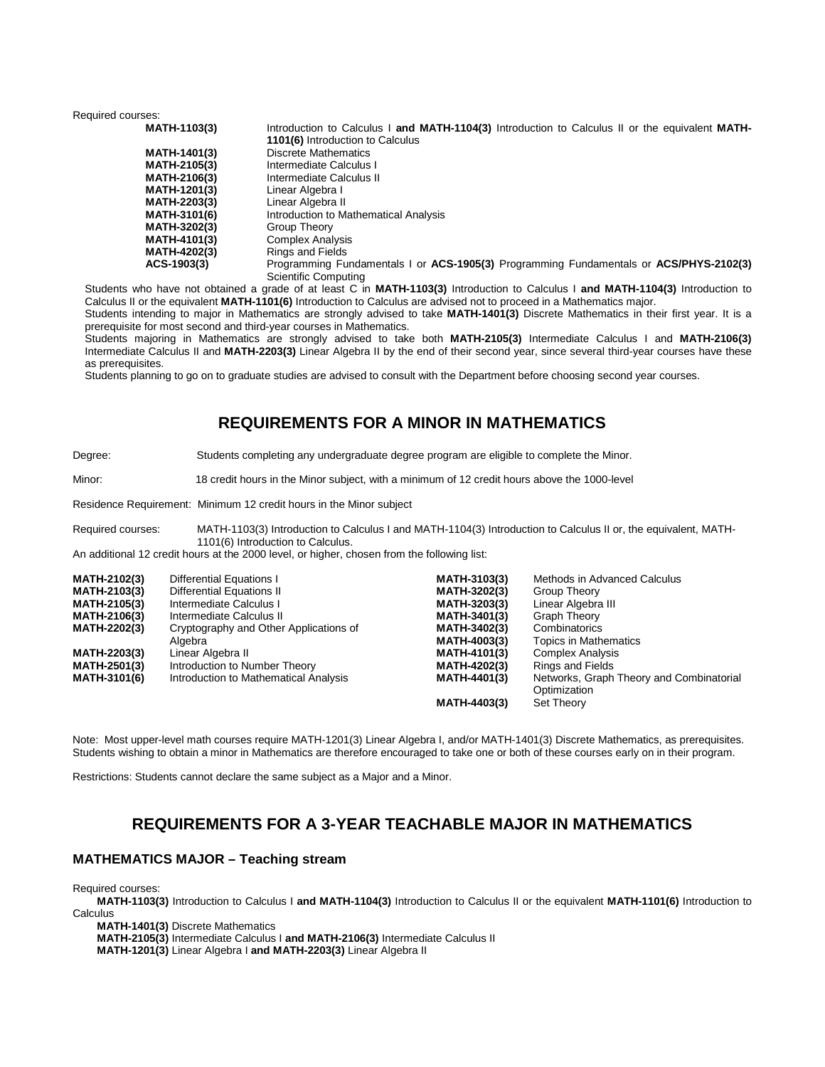Required courses:

| <b>MATH-1103(3)</b> | Introduction to Calculus I and MATH-1104(3) Introduction to Calculus II or the equivalent MATH- |
|---------------------|-------------------------------------------------------------------------------------------------|
|                     | 1101(6) Introduction to Calculus                                                                |
| <b>MATH-1401(3)</b> | <b>Discrete Mathematics</b>                                                                     |
| <b>MATH-2105(3)</b> | Intermediate Calculus I                                                                         |
| <b>MATH-2106(3)</b> | Intermediate Calculus II                                                                        |
| <b>MATH-1201(3)</b> | Linear Algebra I                                                                                |
| <b>MATH-2203(3)</b> | Linear Algebra II                                                                               |
| <b>MATH-3101(6)</b> | Introduction to Mathematical Analysis                                                           |
| <b>MATH-3202(3)</b> | Group Theory                                                                                    |
| <b>MATH-4101(3)</b> | <b>Complex Analysis</b>                                                                         |
| <b>MATH-4202(3)</b> | <b>Rings and Fields</b>                                                                         |
| ACS-1903(3)         | Programming Fundamentals I or ACS-1905(3) Programming Fundamentals or ACS/PHYS-2102(3)          |
|                     | Scientific Computing                                                                            |

Students who have not obtained a grade of at least C in **MATH-1103(3)** Introduction to Calculus I **and MATH-1104(3)** Introduction to Calculus II or the equivalent **MATH-1101(6)** Introduction to Calculus are advised not to proceed in a Mathematics major.

Students intending to major in Mathematics are strongly advised to take **MATH-1401(3)** Discrete Mathematics in their first year. It is a prerequisite for most second and third-year courses in Mathematics.

Students majoring in Mathematics are strongly advised to take both **MATH-2105(3)** Intermediate Calculus I and **MATH-2106(3)**  Intermediate Calculus II and **MATH-2203(3)** Linear Algebra II by the end of their second year, since several third-year courses have these as prerequisites.

Students planning to go on to graduate studies are advised to consult with the Department before choosing second year courses.

## **REQUIREMENTS FOR A MINOR IN MATHEMATICS**

#### Degree: Students completing any undergraduate degree program are eligible to complete the Minor.

Minor: 18 credit hours in the Minor subject, with a minimum of 12 credit hours above the 1000-level

Residence Requirement: Minimum 12 credit hours in the Minor subject

Required courses: MATH-1103(3) Introduction to Calculus I and MATH-1104(3) Introduction to Calculus II or, the equivalent, MATH-1101(6) Introduction to Calculus.

An additional 12 credit hours at the 2000 level, or higher, chosen from the following list:

| <b>MATH-2102(3)</b> | Differential Equations I               | <b>MATH-3103(3)</b> | Methods in Advanced Calculus             |
|---------------------|----------------------------------------|---------------------|------------------------------------------|
| <b>MATH-2103(3)</b> | Differential Equations II              | MATH-3202(3)        | Group Theory                             |
| <b>MATH-2105(3)</b> | Intermediate Calculus I                | <b>MATH-3203(3)</b> | Linear Algebra III                       |
| <b>MATH-2106(3)</b> | Intermediate Calculus II               | <b>MATH-3401(3)</b> | <b>Graph Theory</b>                      |
| <b>MATH-2202(3)</b> | Cryptography and Other Applications of | MATH-3402(3)        | Combinatorics                            |
|                     | Algebra                                | <b>MATH-4003(3)</b> | <b>Topics in Mathematics</b>             |
| <b>MATH-2203(3)</b> | Linear Algebra II                      | <b>MATH-4101(3)</b> | <b>Complex Analysis</b>                  |
| <b>MATH-2501(3)</b> | Introduction to Number Theory          | <b>MATH-4202(3)</b> | <b>Rings and Fields</b>                  |
| <b>MATH-3101(6)</b> | Introduction to Mathematical Analysis  | <b>MATH-4401(3)</b> | Networks, Graph Theory and Combinatorial |
|                     |                                        |                     | Optimization                             |
|                     |                                        | MATH-4403(3)        | <b>Set Theory</b>                        |

Note: Most upper-level math courses require MATH-1201(3) Linear Algebra I, and/or MATH-1401(3) Discrete Mathematics, as prerequisites. Students wishing to obtain a minor in Mathematics are therefore encouraged to take one or both of these courses early on in their program.

Restrictions: Students cannot declare the same subject as a Major and a Minor.

## **REQUIREMENTS FOR A 3-YEAR TEACHABLE MAJOR IN MATHEMATICS**

#### **MATHEMATICS MAJOR – Teaching stream**

Required courses:

**MATH-1103(3)** Introduction to Calculus I **and MATH-1104(3)** Introduction to Calculus II or the equivalent **MATH-1101(6)** Introduction to **Calculus** 

**MATH-1401(3)** Discrete Mathematics

**MATH-2105(3)** Intermediate Calculus I **and MATH-2106(3)** Intermediate Calculus II

**MATH-1201(3)** Linear Algebra I **and MATH-2203(3)** Linear Algebra II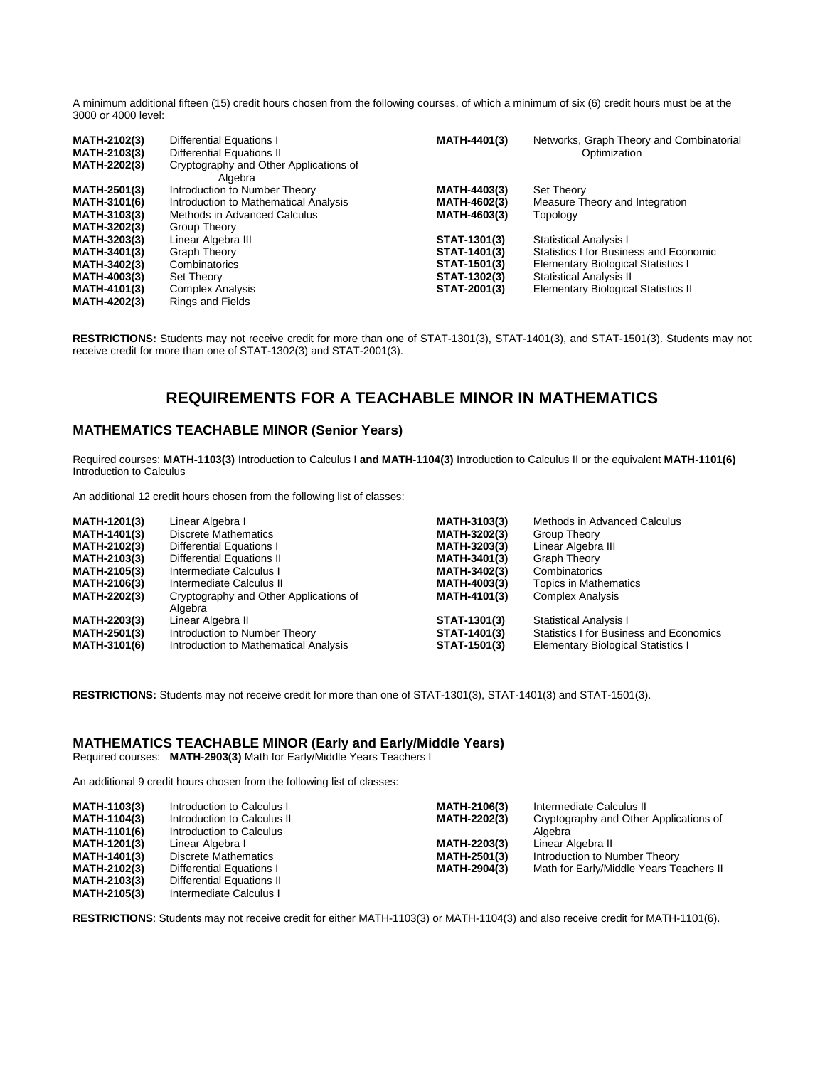A minimum additional fifteen (15) credit hours chosen from the following courses, of which a minimum of six (6) credit hours must be at the 3000 or 4000 level:

| <b>MATH-2102(3)</b><br><b>MATH-2103(3)</b><br><b>MATH-2202(3)</b> | <b>Differential Equations I</b><br>Differential Equations II<br>Cryptography and Other Applications of<br>Algebra | MATH-4401(3)        | Networks, Graph Theory and Combinatorial<br>Optimization |
|-------------------------------------------------------------------|-------------------------------------------------------------------------------------------------------------------|---------------------|----------------------------------------------------------|
| <b>MATH-2501(3)</b>                                               | Introduction to Number Theory                                                                                     | MATH-4403(3)        | <b>Set Theory</b>                                        |
| <b>MATH-3101(6)</b>                                               | Introduction to Mathematical Analysis                                                                             | MATH-4602(3)        | Measure Theory and Integration                           |
| <b>MATH-3103(3)</b>                                               | Methods in Advanced Calculus                                                                                      | MATH-4603(3)        | Topology                                                 |
| <b>MATH-3202(3)</b>                                               | Group Theory                                                                                                      |                     |                                                          |
| MATH-3203(3)                                                      | Linear Algebra III                                                                                                | STAT-1301(3)        | <b>Statistical Analysis I</b>                            |
| <b>MATH-3401(3)</b>                                               | Graph Theory                                                                                                      | STAT-1401(3)        | Statistics I for Business and Economic                   |
| MATH-3402(3)                                                      | Combinatorics                                                                                                     | STAT-1501(3)        | <b>Elementary Biological Statistics I</b>                |
| <b>MATH-4003(3)</b>                                               | Set Theory                                                                                                        | STAT-1302(3)        | <b>Statistical Analysis II</b>                           |
| <b>MATH-4101(3)</b>                                               | <b>Complex Analysis</b>                                                                                           | <b>STAT-2001(3)</b> | <b>Elementary Biological Statistics II</b>               |
| <b>MATH-4202(3)</b>                                               | <b>Rings and Fields</b>                                                                                           |                     |                                                          |

**RESTRICTIONS:** Students may not receive credit for more than one of STAT-1301(3), STAT-1401(3), and STAT-1501(3). Students may not receive credit for more than one of STAT-1302(3) and STAT-2001(3).

## **REQUIREMENTS FOR A TEACHABLE MINOR IN MATHEMATICS**

#### **MATHEMATICS TEACHABLE MINOR (Senior Years)**

Required courses: **MATH-1103(3)** Introduction to Calculus I **and MATH-1104(3)** Introduction to Calculus II or the equivalent **MATH-1101(6)**  Introduction to Calculus

An additional 12 credit hours chosen from the following list of classes:

| <b>MATH-1201(3)</b>                        | Linear Algebra I                                                       | <b>MATH-3103(3)</b>          | Methods in Advanced Calculus                                                         |
|--------------------------------------------|------------------------------------------------------------------------|------------------------------|--------------------------------------------------------------------------------------|
| <b>MATH-1401(3)</b>                        | Discrete Mathematics                                                   | MATH-3202(3)                 | Group Theory                                                                         |
| <b>MATH-2102(3)</b>                        | <b>Differential Equations I</b>                                        | MATH-3203(3)                 | Linear Algebra III                                                                   |
| <b>MATH-2103(3)</b>                        | Differential Equations II                                              | MATH-3401(3)                 | <b>Graph Theory</b>                                                                  |
| <b>MATH-2105(3)</b>                        | Intermediate Calculus I                                                | MATH-3402(3)                 | Combinatorics                                                                        |
| <b>MATH-2106(3)</b>                        | Intermediate Calculus II                                               | <b>MATH-4003(3)</b>          | Topics in Mathematics                                                                |
| <b>MATH-2202(3)</b>                        | Cryptography and Other Applications of<br>Algebra                      | <b>MATH-4101(3)</b>          | <b>Complex Analysis</b>                                                              |
| <b>MATH-2203(3)</b>                        | Linear Algebra II                                                      | STAT-1301(3)                 | <b>Statistical Analysis I</b>                                                        |
| <b>MATH-2501(3)</b><br><b>MATH-3101(6)</b> | Introduction to Number Theory<br>Introduction to Mathematical Analysis | STAT-1401(3)<br>STAT-1501(3) | Statistics I for Business and Economics<br><b>Elementary Biological Statistics I</b> |

**RESTRICTIONS:** Students may not receive credit for more than one of STAT-1301(3), STAT-1401(3) and STAT-1501(3).

#### **MATHEMATICS TEACHABLE MINOR (Early and Early/Middle Years)**

Required courses: **MATH-2903(3)** Math for Early/Middle Years Teachers I

An additional 9 credit hours chosen from the following list of classes:

| <b>MATH-1103(3)</b> | Introduction to Calculus I  | <b>MATH-2106(3)</b> | Intermediate Calculus II                |
|---------------------|-----------------------------|---------------------|-----------------------------------------|
| <b>MATH-1104(3)</b> | Introduction to Calculus II | MATH-2202(3)        | Cryptography and Other Applications of  |
| <b>MATH-1101(6)</b> | Introduction to Calculus    |                     | Algebra                                 |
| <b>MATH-1201(3)</b> | Linear Algebra I            | MATH-2203(3)        | Linear Algebra II                       |
| <b>MATH-1401(3)</b> | Discrete Mathematics        | MATH-2501(3)        | Introduction to Number Theory           |
| <b>MATH-2102(3)</b> | Differential Equations I    | MATH-2904(3)        | Math for Early/Middle Years Teachers II |
| <b>MATH-2103(3)</b> | Differential Equations II   |                     |                                         |
| <b>MATH-2105(3)</b> | Intermediate Calculus I     |                     |                                         |

**RESTRICTIONS**: Students may not receive credit for either MATH-1103(3) or MATH-1104(3) and also receive credit for MATH-1101(6).